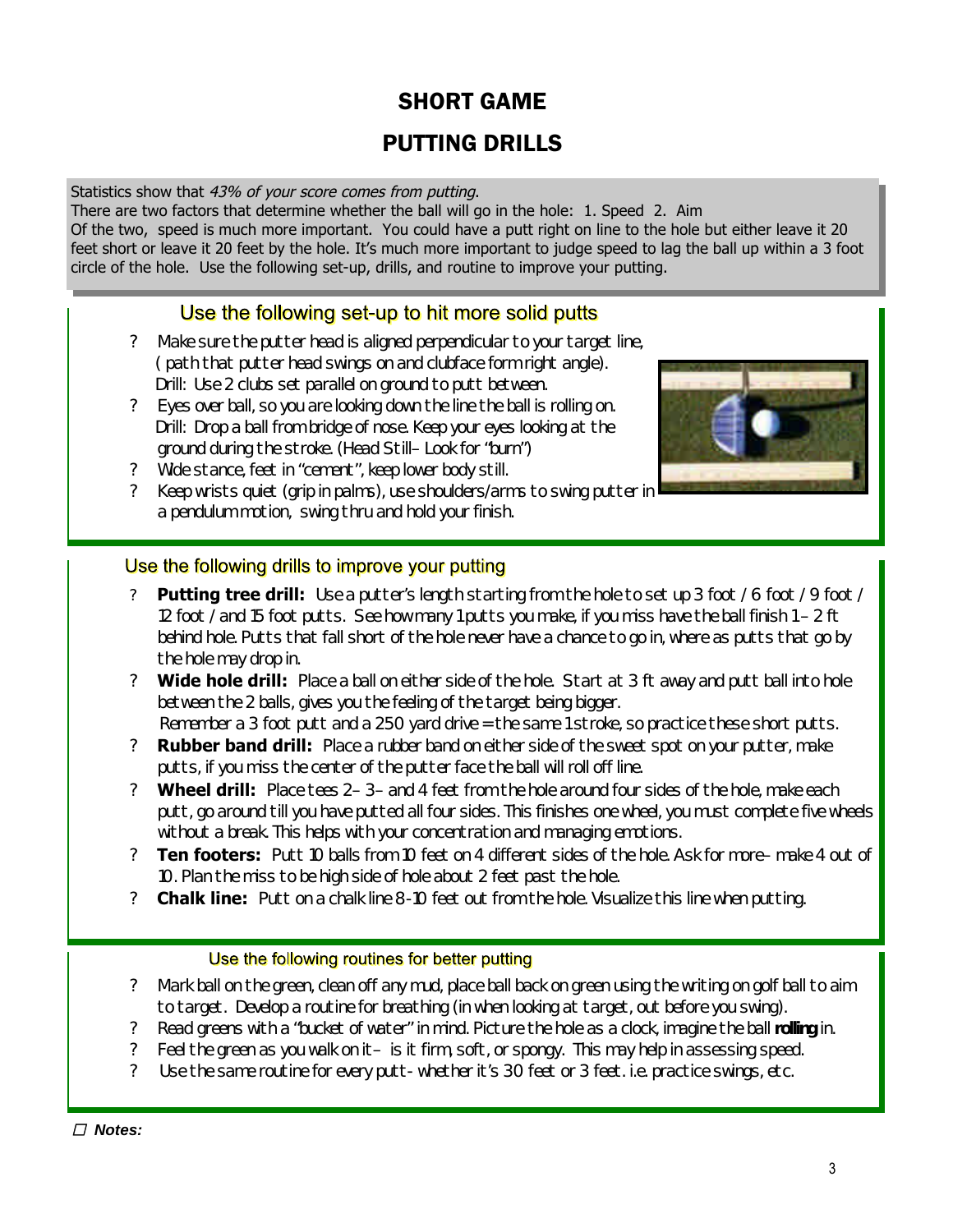# PUTTING DRILLS

Statistics show that *43% of your score comes from putting*.

There are two factors that determine whether the ball will go in the hole: 1. Speed 2. Aim Of the two, speed is much more important. You could have a putt right on line to the hole but either leave it 20 feet short or leave it 20 feet by the hole. It's much more important to judge speed to lag the ball up within a 3 foot circle of the hole. Use the following set-up, drills, and routine to improve your putting.

## Use the following set-up to hit more solid putts

- ? Make sure the putter head is aligned perpendicular to your target line, ( path that putter head swings on and clubface form right angle). Drill: Use 2 clubs set parallel on ground to putt between.
- ? Eyes over ball, so you are looking down the line the ball is rolling on. Drill: Drop a ball from bridge of nose. Keep your eyes looking at the ground during the stroke. (Head Still– Look for "burn")
- ? Wide stance, feet in "cement", keep lower body still.
- ? Keep wrists quiet (grip in palms), use shoulders/arms to swing putter in a pendulum motion, swing thru and hold your finish.



### Use the following drills to improve your putting

- **Putting tree drill:** Use a putter's length starting from the hole to set up 3 foot / 6 foot / 9 foot / 12 foot / and 15 foot putts. See how many 1 putts you make, if you miss have the ball finish 1 – 2 ft behind hole. Putts that fall short of the hole never have a chance to go in, where as putts that go by the hole may drop in.
- ? **Wide hole drill:** Place a ball on either side of the hole. Start at 3 ft away and putt ball into hole between the 2 balls, gives you the feeling of the target being bigger.

Remember a 3 foot putt and a 250 yard drive = the same 1 stroke, so *practice* these short putts.

- ? **Rubber band drill:** Place a rubber band on either side of the sweet spot on your putter, make putts, if you miss the center of the putter face the ball will roll off line.
- ? **Wheel drill:** Place tees 2– 3– and 4 feet from the hole around four sides of the hole, make each putt, go around till you have putted all four sides. This finishes one wheel, you must complete five wheels without a break. This helps with your concentration and managing emotions.
- ? **Ten footers:** Putt 10 balls from 10 feet on 4 different sides of the hole. Ask for more– make 4 out of 10. Plan the miss to be high side of hole about 2 feet past the hole.
- ? **Chalk line:** Putt on a chalk line 8-10 feet out from the hole. Visualize this line when putting.

#### Use the following routines for better putting

- ? Mark ball on the green, clean off any mud, place ball back on green using the writing on golf ball to aim to target. Develop a routine for breathing (in when looking at target, out before you swing).
- ? Read greens with a "bucket of water" in mind. Picture the hole as a clock, imagine the ball **rolling** in.
- ? Feel the green as you walk on it– is it firm, soft, or spongy. This may help in assessing speed.
- ? Use the same routine for every putt- whether it's 30 feet or 3 feet. i.e. practice swings, etc.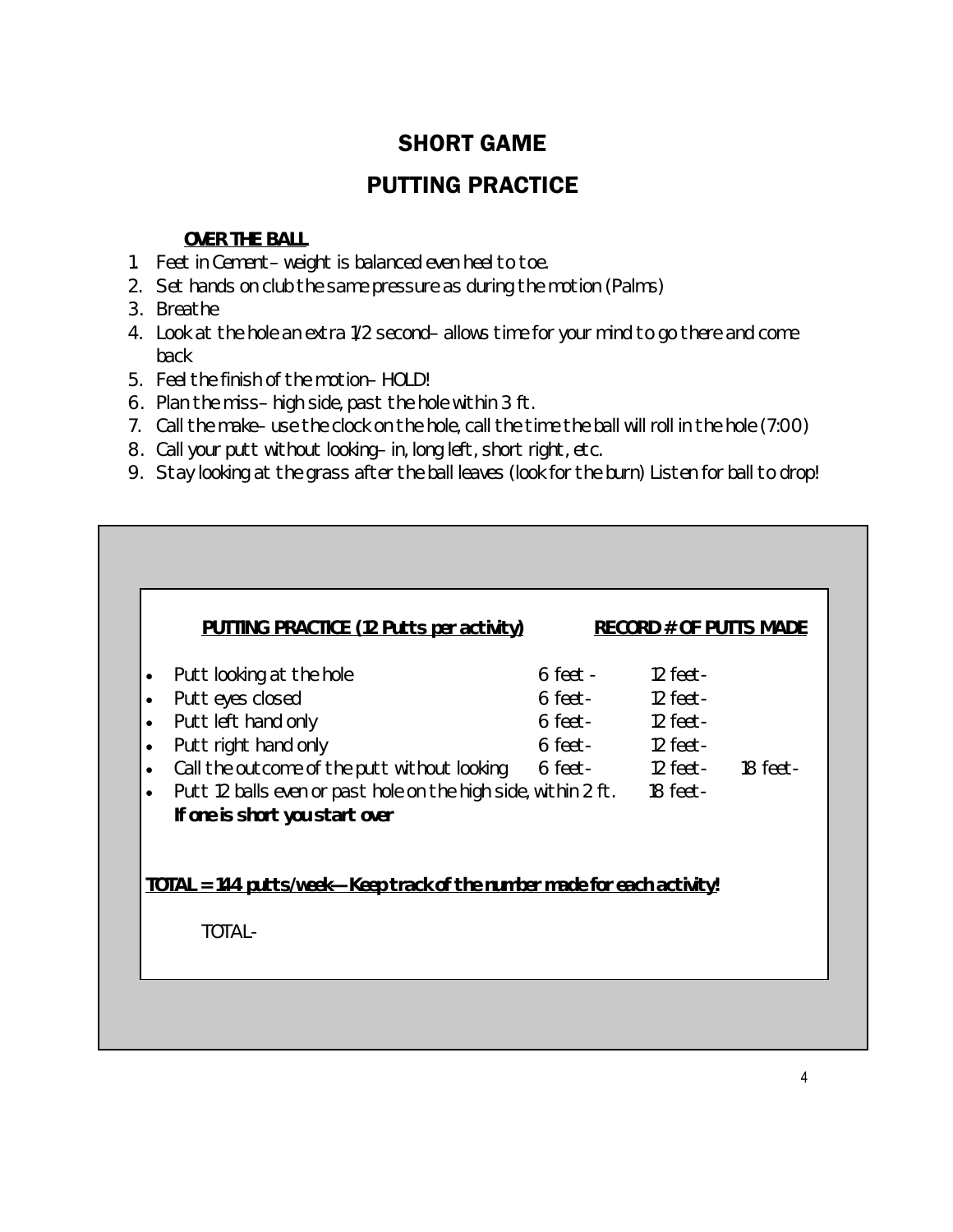## PUTTING PRACTICE

## **OVER THE BALL**

- 1. Feet in Cement– weight is balanced even heel to toe.
- 2. Set hands on club the same pressure as during the motion (Palms)
- 3. Breathe
- 4. Look at the hole an extra 1/2 second– allows time for your mind to go there and come back
- 5. Feel the finish of the motion– HOLD!
- 6. Plan the miss– high side, past the hole within 3 ft.
- 7. Call the make– use the clock on the hole, call the time the ball will roll in the hole (7:00)
- 8. Call your putt without looking– in, long left, short right, etc.
- 9. Stay looking at the grass after the ball leaves (look for the burn) Listen for ball to drop!

| <b>PUTTING PRACTICE (12 Putts per activity)</b>                                                                        |                                    | <b>RECORD # OF PUTTS MADE</b> |          |
|------------------------------------------------------------------------------------------------------------------------|------------------------------------|-------------------------------|----------|
| Putt looking at the hole<br>$\bullet$                                                                                  | $6 \text{ feet} - 12 \text{ feet}$ |                               |          |
| Putt eyes closed<br>$\bullet$                                                                                          | 6 feet- 12 feet-                   |                               |          |
| Putt left hand only<br>$\bullet$                                                                                       | 6 feet- 12 feet-                   |                               |          |
| Putt right hand only<br>$\bullet$                                                                                      | 6 feet- 12 feet-                   |                               |          |
| Call the outcome of the putt without looking 6 feet- 12 feet-<br>$\bullet$                                             |                                    |                               | 18 feet- |
| Putt 12 balls even or past hole on the high side, within 2 ft. 18 feet-<br>$\bullet$<br>If one is short you start over |                                    |                               |          |
| <u> TOTAL = 144 putts/week—Keep track of the number made for each activity!</u>                                        |                                    |                               |          |
| TOTAL-                                                                                                                 |                                    |                               |          |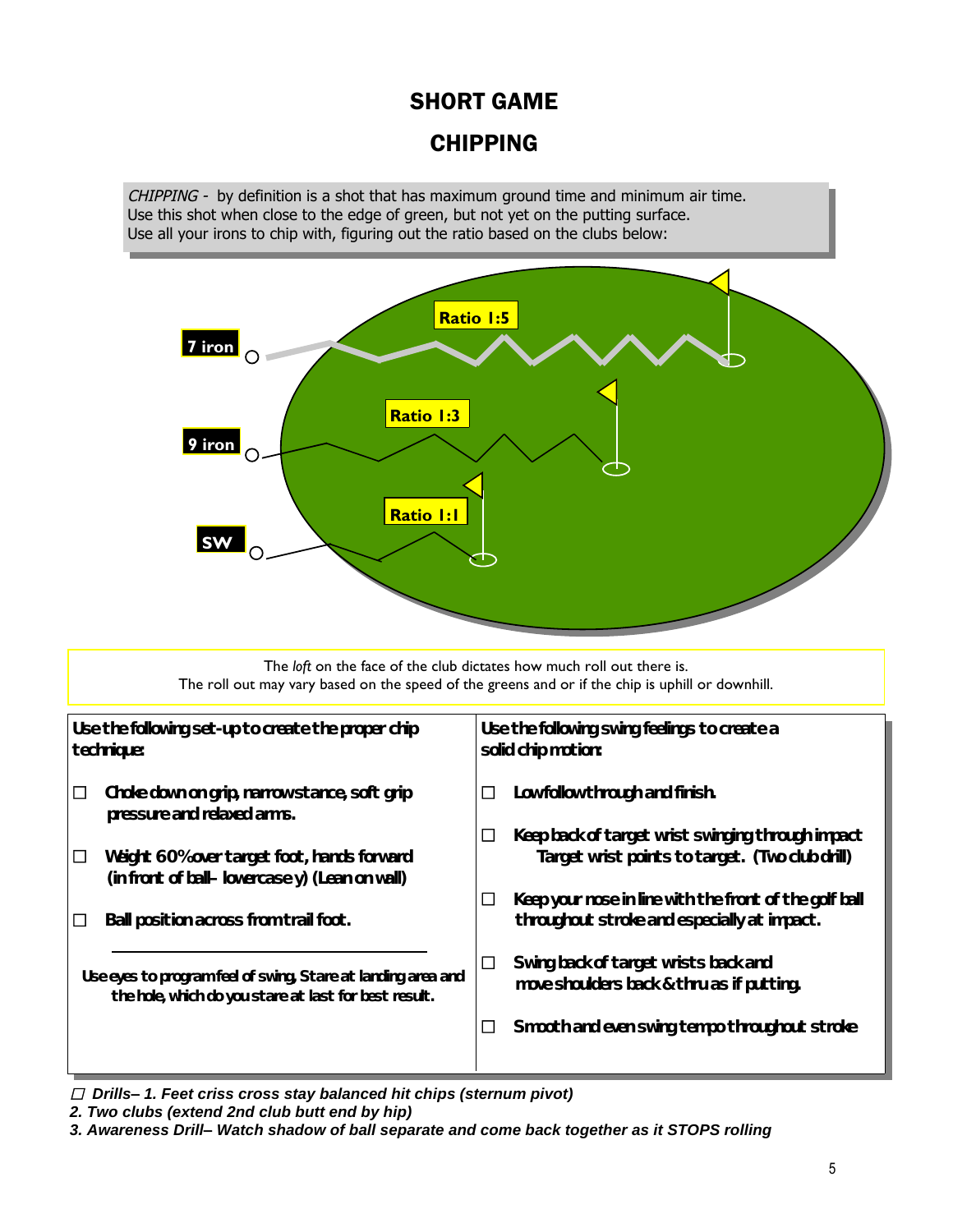## CHIPPING

*CHIPPING -* by definition is a shot that has maximum ground time and minimum air time. Use this shot when close to the edge of green, but not yet on the putting surface. Use all your irons to chip with, figuring out the ratio based on the clubs below:



The *loft* on the face of the club dictates how much roll out there is. The roll out may vary based on the speed of the greens and or if the chip is uphill or downhill.

| Use the following set-up to create the proper chip<br>technique:                                                      |                                                                                             | Use the following swing feelings to create a<br>solid chip motion: |                                                                                                       |  |
|-----------------------------------------------------------------------------------------------------------------------|---------------------------------------------------------------------------------------------|--------------------------------------------------------------------|-------------------------------------------------------------------------------------------------------|--|
| ப                                                                                                                     | Choke down on grip, narrow stance, soft grip<br>pressure and relaxed arms.                  | □                                                                  | Low follow through and finish.                                                                        |  |
|                                                                                                                       | Weight 60% over target foot, hands forward<br>(in front of ball-lowercase y) (Lean on wall) |                                                                    | Keep back of target wrist swinging through impact<br>Target wrist points to target. (Two club drill)  |  |
|                                                                                                                       | Ball position across from trail foot.                                                       |                                                                    | Keep your nose in line with the front of the golf ball<br>throughout stroke and especially at impact. |  |
| Use eyes to program feel of swing, Stare at landing area and<br>the hole, which do you stare at last for best result. |                                                                                             | ப                                                                  | Swing back of target wrists back and<br>move shoulders back & thru as if putting.                     |  |
|                                                                                                                       |                                                                                             |                                                                    | Smooth and even swing tempo throughout stroke                                                         |  |
|                                                                                                                       |                                                                                             |                                                                    |                                                                                                       |  |

*Drills–1. Feet criss cross stay balanced hit chips (sternum pivot)*

*2. Two clubs (extend 2nd club butt end by hip)*

*3. Awareness Drill–Watch shadow of ball separate and come back together as it STOPS rolling*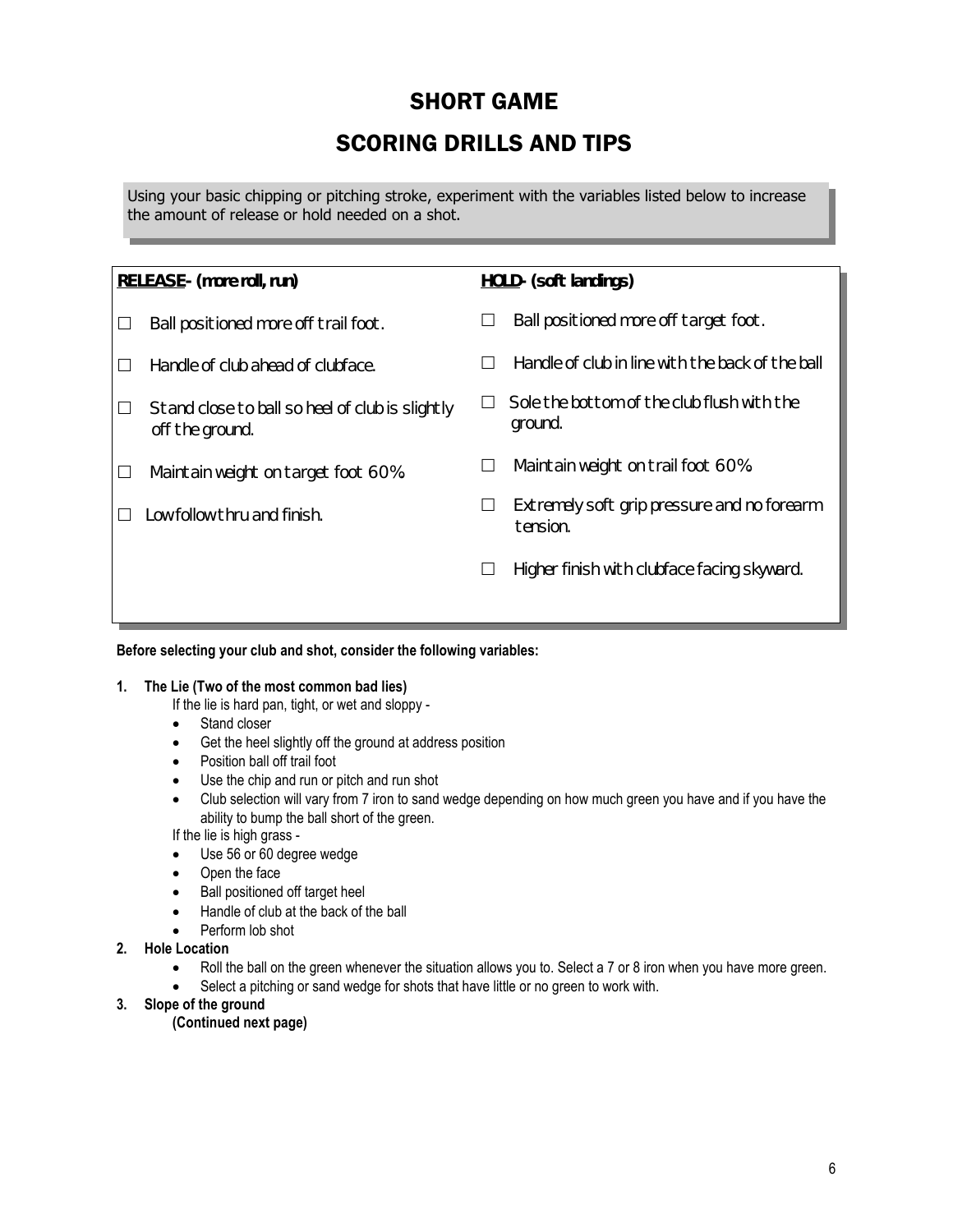## SCORING DRILLS AND TIPS

Using your basic chipping or pitching stroke, experiment with the variables listed below to increase the amount of release or hold needed on a shot.

| RELEASE- (more roll, run)                                          |        | HOLD- (soft landings)                                   |
|--------------------------------------------------------------------|--------|---------------------------------------------------------|
| Ball positioned more off trail foot.                               |        | Ball positioned more off target foot.                   |
| Handle of club ahead of clubface.                                  | $\Box$ | Handle of club in line with the back of the ball        |
| Stand close to ball so heel of club is slightly<br>off the ground. |        | Sole the bottom of the club flush with the<br>ground.   |
| Maintain weight on target foot 60%.                                | $\Box$ | Maintain weight on trail foot 60%.                      |
| Low follow thru and finish.                                        | $\Box$ | Extremely soft grip pressure and no forearm<br>tension. |
|                                                                    | $\Box$ | Higher finish with clubface facing skyward.             |
|                                                                    |        |                                                         |

#### **Before selecting your club and shot, consider the following variables:**

#### **1. The Lie (Two of the most common bad lies)**

If the lie is hard pan, tight, or wet and sloppy -

- Stand closer
- Get the heel slightly off the ground at address position
- Position ball off trail foot
- Use the chip and run or pitch and run shot
- Club selection will vary from 7 iron to sand wedge depending on how much green you have and if you have the ability to bump the ball short of the green.

If the lie is high grass -

- Use 56 or 60 degree wedge
- Open the face
- Ball positioned off target heel
- Handle of club at the back of the ball
- Perform lob shot
- **2. Hole Location**
	- Roll the ball on the green whenever the situation allows you to. Select a 7 or 8 iron when you have more green.
	- Select a pitching or sand wedge for shots that have little or no green to work with.
- **3. Slope of the ground**

**(Continued next page)**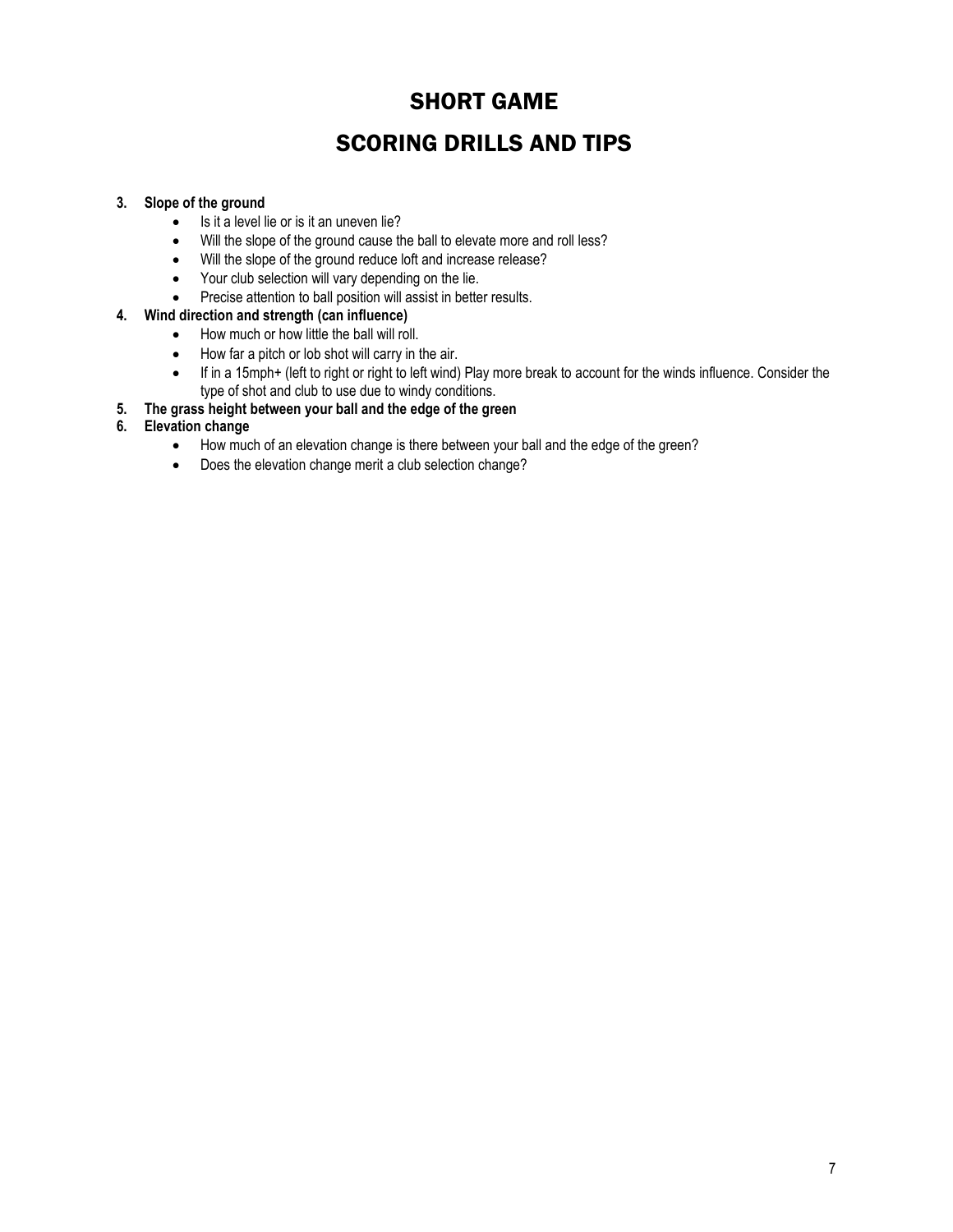## SCORING DRILLS AND TIPS

### **3. Slope of the ground**

- $\bullet$  Is it a level lie or is it an uneven lie?
- Will the slope of the ground cause the ball to elevate more and roll less?
- Will the slope of the ground reduce loft and increase release?
- Your club selection will vary depending on the lie.
- Precise attention to ball position will assist in better results.

#### **4. Wind direction and strength (can influence)**

- How much or how little the ball will roll.
- How far a pitch or lob shot will carry in the air.
- If in a 15mph+ (left to right or right to left wind) Play more break to account for the winds influence. Consider the type of shot and club to use due to windy conditions.
- **5. The grass height between your ball and the edge of the green**
- **6. Elevation change**
	- How much of an elevation change is there between your ball and the edge of the green?
	- Does the elevation change merit a club selection change?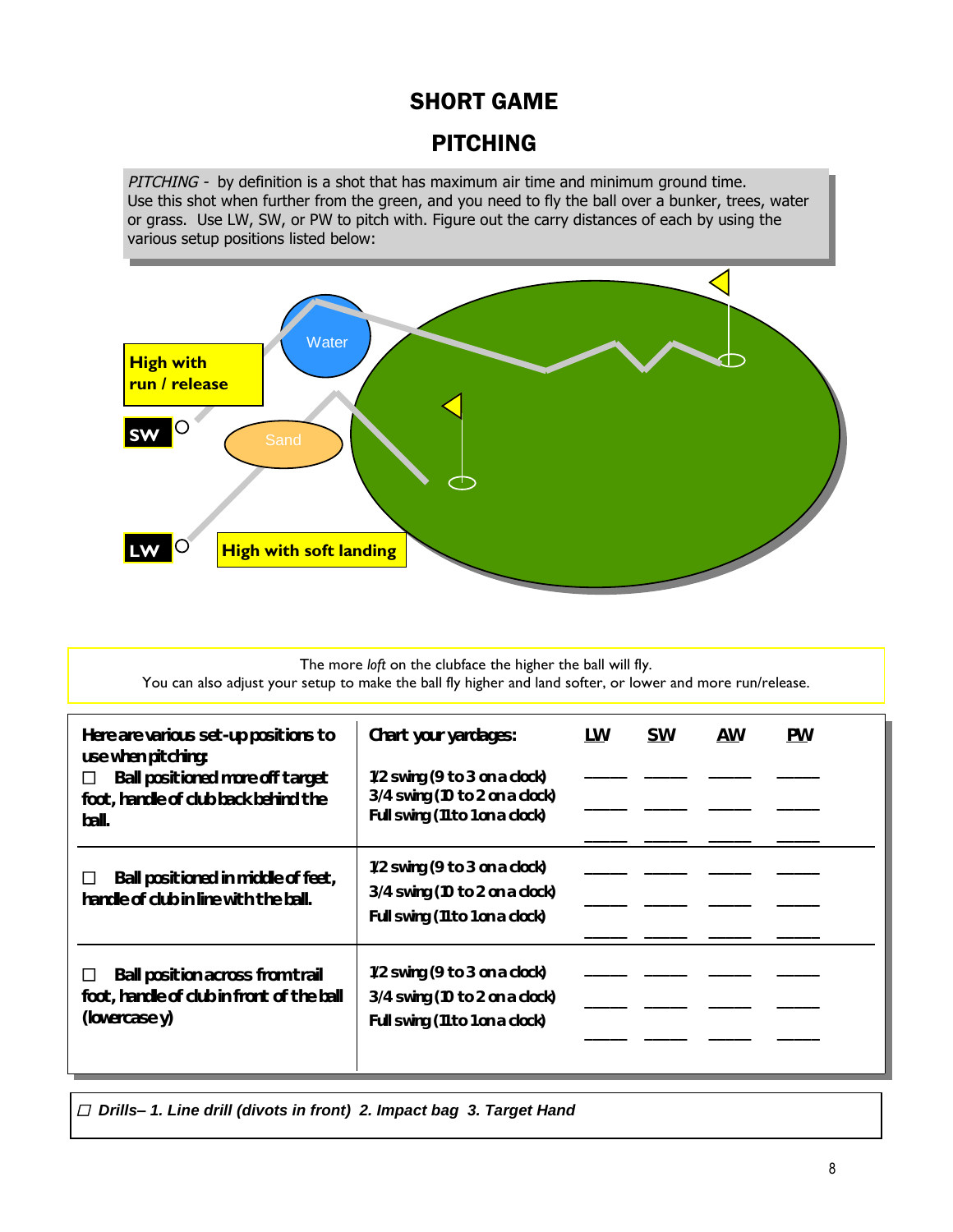## PITCHING

*PITCHING -* by definition is a shot that has maximum air time and minimum ground time. Use this shot when further from the green, and you need to fly the ball over a bunker, trees, water or grass. Use LW, SW, or PW to pitch with. Figure out the carry distances of each by using the various setup positions listed below:



#### The more *loft* on the clubface the higher the ball will fly. You can also adjust your setup to make the ball fly higher and land softer, or lower and more run/release.

| Here are various set-up positions to                                                                             | Chart your yardages:                                                                                   | LW | <b>SW</b> | AW | <b>PW</b> |
|------------------------------------------------------------------------------------------------------------------|--------------------------------------------------------------------------------------------------------|----|-----------|----|-----------|
| use when pitching:<br>Ball positioned more off target<br>$\Box$<br>foot, handle of club back behind the<br>ball. | 1/2 swing (9 to 3 on a clock)<br>3/4 swing (10 to 2 on a clock)<br>Full swing (11 to 1 on a clock)     |    |           |    |           |
| Ball positioned in middle of feet,<br>handle of club in line with the ball.                                      | $1/2$ swing (9 to 3 on a clock)<br>3/4 swing (10 to 2 on a clock)<br>Full swing (11 to 1 on a clock)   |    |           |    |           |
| Ball position across from trail<br>foot, handle of club in front of the ball<br>(lowercase y)                    | $1/2$ swing (9 to 3 on a clock)<br>$3/4$ swing (10 to 2 on a clock)<br>Full swing (11 to 1 on a clock) |    |           |    |           |

*Drills–1. Line drill (divots in front) 2. Impact bag 3. Target Hand*